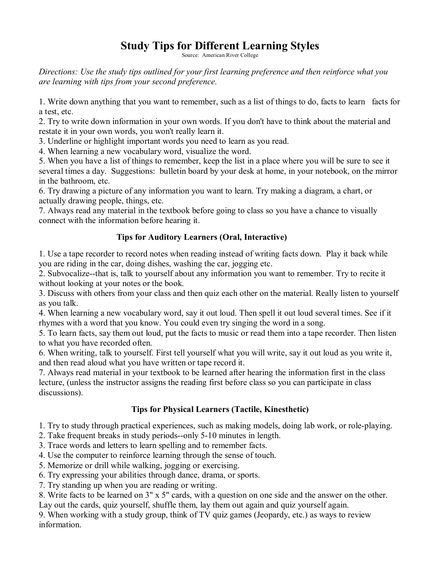# **Study Tips for Different Learning Styles**

Source: American River College

*Directions: Use the study tips outlined for your first learning preference and then reinforce what you are learning with tips from your second preference.*

1. Write down anything that you want to remember, such as a list of things to do, facts to learn facts for a test, etc.

2. Try to write down information in your own words. If you don't have to think about the material and restate it in your own words, you won't really learn it.

3. Underline or highlight important words you need to learn as you read.

4. When learning a new vocabulary word, visualize the word.

5. When you have a list of things to remember, keep the list in a place where you will be sure to see it several times a day. Suggestions: bulletin board by your desk at home, in your notebook, on the mirror in the bathroom, etc.

6. Try drawing a picture of any information you want to learn. Try making a diagram, a chart, or actually drawing people, things, etc.

7. Always read any material in the textbook before going to class so you have a chance to visually connect with the information before hearing it.

## **Tips for Auditory Learners (Oral, Interactive)**

1. Use a tape recorder to record notes when reading instead of writing facts down. Play it back while you are riding in the car, doing dishes, washing the car, jogging etc.

2. Subvocalize--that is, talk to yourself about any information you want to remember. Try to recite it without looking at your notes or the book.

3. Discuss with others from your class and then quiz each other on the material. Really listen to yourself as you talk.

4. When learning a new vocabulary word, say itout loud. Then spell it out loud several times. See if it rhymes with a word that you know. You could even try singing the word in a song.

5. To learn facts, say them out loud, put the facts to music or read them into a tape recorder. Then listen to what you have recorded often.

6. When writing, talk to yourself. First tell yourself what you will write, say it out loud as you write it, and then read aloud what you have written or tape record it.

7. Always read material in your textbook to be learned after hearing the information first in the class lecture, (unless the instructor assigns the reading first before class so you can participate in class discussions).

### **Tips for Physical Learners (Tactile, Kinesthetic)**

1. Try to study through practical experiences, such as making models, doing lab work, or roleplaying.

2. Take frequent breaks in study periods--only  $5-10$  minutes in length.

3. Trace words and letters to learn spelling and to remember facts.

4. Use the computer to reinforce learning through the sense of touch.

5. Memorize or drill while walking, jogging or exercising.

6. Try expressing your abilities through dance, drama, or sports.

7. Try standing up when you are reading or writing.

8. Write facts to be learned on 3" x 5" cards, with a question on one side and the answer on the other. Lay out the cards, quiz yourself, shuffle them, lay them out again and quiz yourself again.

9. When working with a study group, think of TV quiz games (Jeopardy, etc.) as ways to review information.